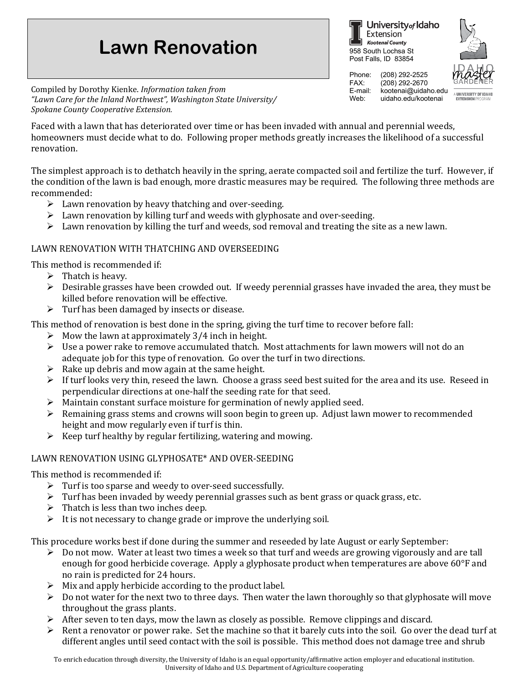## **Lawn Renovation**

Compiled by Dorothy Kienke. *Information taken from "Lawn Care for the Inland Northwest", Washington State University/ Spokane County Cooperative Extension.*

Faced with a lawn that has deteriorated over time or has been invaded with annual and perennial weeds, homeowners must decide what to do. Following proper methods greatly increases the likelihood of a successful renovation.

The simplest approach is to dethatch heavily in the spring, aerate compacted soil and fertilize the turf. However, if the condition of the lawn is bad enough, more drastic measures may be required. The following three methods are recommended:

- $\triangleright$  Lawn renovation by heavy thatching and over-seeding.
- $\triangleright$  Lawn renovation by killing turf and weeds with glyphosate and over-seeding.
- $\triangleright$  Lawn renovation by killing the turf and weeds, sod removal and treating the site as a new lawn.

## LAWN RENOVATION WITH THATCHING AND OVERSEEDING

This method is recommended if:

- $\triangleright$  Thatch is heavy.
- $\triangleright$  Desirable grasses have been crowded out. If weedy perennial grasses have invaded the area, they must be killed before renovation will be effective.
- $\triangleright$  Turf has been damaged by insects or disease.

This method of renovation is best done in the spring, giving the turf time to recover before fall:

- $\triangleright$  Mow the lawn at approximately 3/4 inch in height.
- $\triangleright$  Use a power rake to remove accumulated thatch. Most attachments for lawn mowers will not do an adequate job for this type of renovation. Go over the turf in two directions.
- $\triangleright$  Rake up debris and mow again at the same height.
- $\triangleright$  If turf looks very thin, reseed the lawn. Choose a grass seed best suited for the area and its use. Reseed in perpendicular directions at one-half the seeding rate for that seed.
- $\triangleright$  Maintain constant surface moisture for germination of newly applied seed.
- $\triangleright$  Remaining grass stems and crowns will soon begin to green up. Adjust lawn mower to recommended height and mow regularly even if turf is thin.
- $\triangleright$  Keep turf healthy by regular fertilizing, watering and mowing.

## LAWN RENOVATION USING GLYPHOSATE\* AND OVER-SEEDING

This method is recommended if:

- Turf is too sparse and weedy to over-seed successfully.
- $\triangleright$  Turf has been invaded by weedy perennial grasses such as bent grass or quack grass, etc.
- $\triangleright$  Thatch is less than two inches deep.
- $\triangleright$  It is not necessary to change grade or improve the underlying soil.

This procedure works best if done during the summer and reseeded by late August or early September:<br>  $\triangleright$  Do not mow. Water at least two times a week so that turf and weeds are growing vigorously and

- Do not mow. Water at least two times a week so that turf and weeds are growing vigorously and are tall enough for good herbicide coverage. Apply a glyphosate product when temperatures are above 60°F and no rain is predicted for 24 hours.
- $\triangleright$  Mix and apply herbicide according to the product label.
- $\triangleright$  Do not water for the next two to three days. Then water the lawn thoroughly so that glyphosate will move throughout the grass plants.
- $\triangleright$  After seven to ten days, mow the lawn as closely as possible. Remove clippings and discard.
- $\triangleright$  Rent a renovator or power rake. Set the machine so that it barely cuts into the soil. Go over the dead turf at different angles until seed contact with the soil is possible. This method does not damage tree and shrub



Phone: (208) 292-2525 FAX: (208) 292-2670<br>E-mail: kootenai@uidal E-mail: kootenai@uidaho.edu<br>Web: uidaho.edu/kootenai uidaho edu/kootenai

958 South Lochsa St Post Falls, ID 83854

Extension Kootenai County